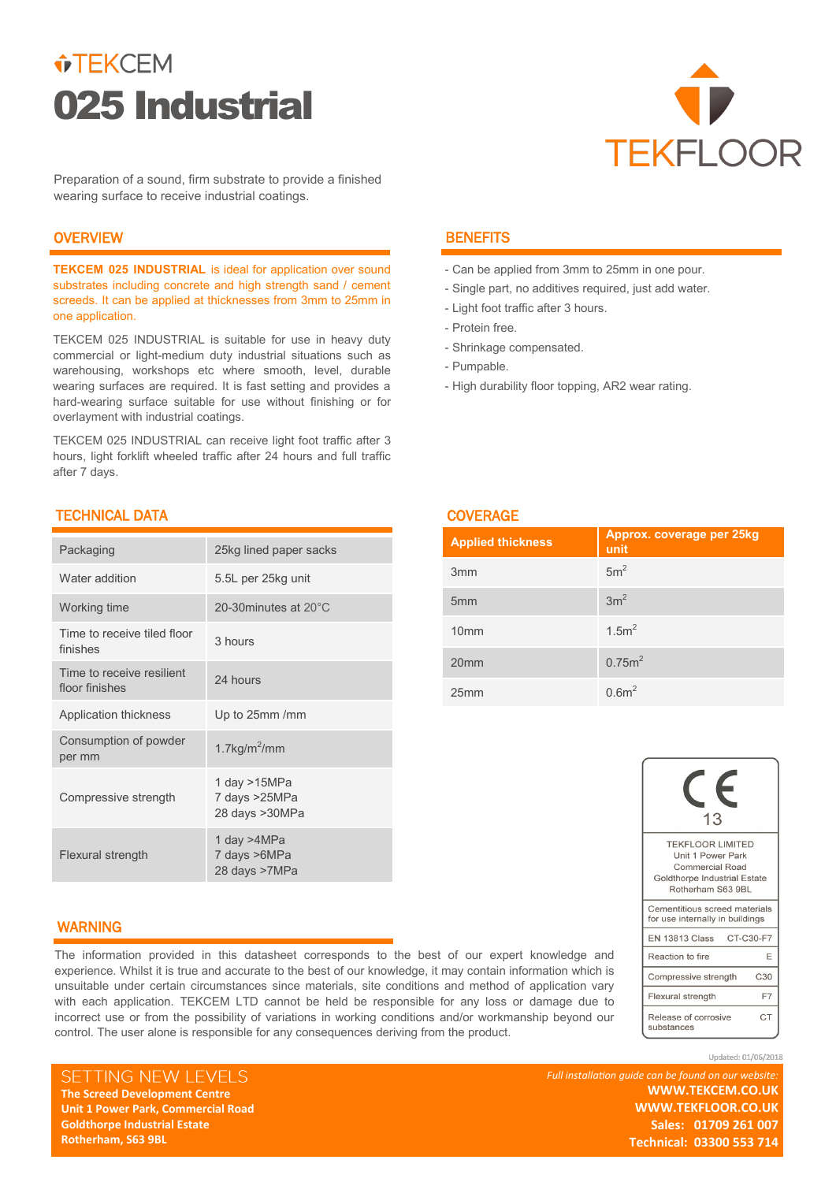# $\hat{v}$ TEKCEM 025 Industrial



Preparation of a sound, firm substrate to provide a finished wearing surface to receive industrial coatings.

## **OVERVIEW**

**TEKCEM 025 INDUSTRIAL** is ideal for application over sound substrates including concrete and high strength sand / cement screeds. It can be applied at thicknesses from 3mm to 25mm in one application.

TEKCEM 025 INDUSTRIAL is suitable for use in heavy duty commercial or light-medium duty industrial situations such as warehousing, workshops etc where smooth, level, durable wearing surfaces are required. It is fast setting and provides a hard-wearing surface suitable for use without finishing or for overlayment with industrial coatings.

TEKCEM 025 INDUSTRIAL can receive light foot traffic after 3 hours, light forklift wheeled traffic after 24 hours and full traffic after 7 days.

# TECHNICAL DATA

| Packaging                                   | 25kg lined paper sacks                          |
|---------------------------------------------|-------------------------------------------------|
| Water addition                              | 5.5L per 25kg unit                              |
| Working time                                | 20-30minutes at 20°C                            |
| Time to receive tiled floor<br>finishes     | 3 hours                                         |
| Time to receive resilient<br>floor finishes | 24 hours                                        |
| Application thickness                       | Up to 25mm /mm                                  |
| Consumption of powder<br>per mm             | 1.7 $kg/m2/mm$                                  |
| Compressive strength                        | 1 day >15MPa<br>7 days >25MPa<br>28 days >30MPa |
| <b>Flexural strength</b>                    | 1 day >4MPa<br>7 days >6MPa<br>28 days >7MPa    |

# **BENEFITS**

- Can be applied from 3mm to 25mm in one pour.
- Single part, no additives required, just add water.
- Light foot traffic after 3 hours.
- Protein free.
- Shrinkage compensated.
- Pumpable.

COVERAGE

- High durability floor topping, AR2 wear rating.

| <u>UU I LIVAUL</u>       |                                   |  |  |
|--------------------------|-----------------------------------|--|--|
| <b>Applied thickness</b> | Approx. coverage per 25kg<br>unit |  |  |
| 3 <sub>mm</sub>          | 5m <sup>2</sup>                   |  |  |
| 5 <sub>mm</sub>          | 3m <sup>2</sup>                   |  |  |
| 10 <sub>mm</sub>         | 1.5m <sup>2</sup>                 |  |  |
| 20 <sub>mm</sub>         | 0.75m <sup>2</sup>                |  |  |
| 25mm                     | 0.6 <sup>2</sup>                  |  |  |

| 13                                                                                                                   |                 |  |  |
|----------------------------------------------------------------------------------------------------------------------|-----------------|--|--|
| <b>TEKFLOOR LIMITED</b><br>Unit 1 Power Park<br>Commercial Road<br>Goldthorpe Industrial Estate<br>Rotherham S63 9BL |                 |  |  |
| Cementitious screed materials<br>for use internally in buildings                                                     |                 |  |  |
| EN 13813 Class CT-C30-F7                                                                                             |                 |  |  |
| Reaction to fire                                                                                                     | F               |  |  |
| Compressive strength                                                                                                 | C <sub>30</sub> |  |  |
| Flexural strength                                                                                                    | F7              |  |  |
| Release of corrosive<br>substances                                                                                   | C.T             |  |  |

Updated: 01/06/2018

## WARNING

The information provided in this datasheet corresponds to the best of our expert knowledge and experience. Whilst it is true and accurate to the best of our knowledge, it may contain information which is unsuitable under certain circumstances since materials, site conditions and method of application vary with each application. TEKCEM LTD cannot be held be responsible for any loss or damage due to incorrect use or from the possibility of variations in working conditions and/or workmanship beyond our control. The user alone is responsible for any consequences deriving from the product.

SETTING NEW LEVELS **The Screed Development Centre The Screed Development Centre Unit 1 Power Park, Commercial Road Unit 1 Power Park, Commercial Road Goldthorpe Industrial Estate Goldthorpe Industrial Estate Rotherham, S63 9BL** 

**Rotherham, S63 9BL** 

*Full installation guide can be found on our website:* **WWW.TEKCEM.CO.UK WWW.TEKCEM.CO.UK WWW.TEKFLOOR.CO.UK WWW.TEKFLOOR.CO.UK Sales: 01709 261 007 Technical: 03300 553 714 Technical: 03300 553 714 Sales: 01709 261 007**